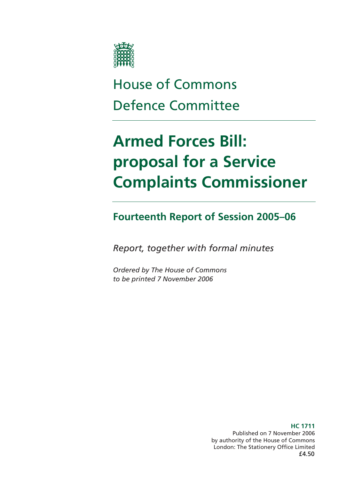

# House of Commons Defence Committee

# **Armed Forces Bill: proposal for a Service Complaints Commissioner**

### **Fourteenth Report of Session 2005–06**

*Report, together with formal minutes* 

*Ordered by The House of Commons to be printed 7 November 2006* 

> **HC 1711**  Published on 7 November 2006 by authority of the House of Commons London: The Stationery Office Limited £4.50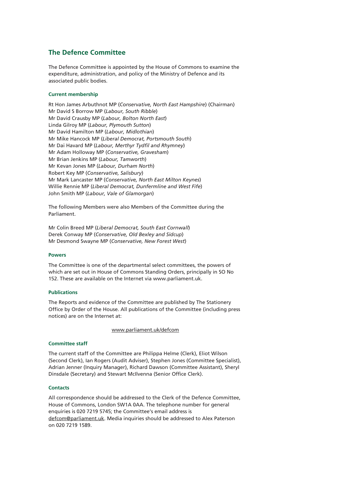### **The Defence Committee**

The Defence Committee is appointed by the House of Commons to examine the expenditure, administration, and policy of the Ministry of Defence and its associated public bodies.

#### **Current membership**

Rt Hon James Arbuthnot MP (*Conservative, North East Hampshire*) (Chairman) Mr David S Borrow MP (*Labour, South Ribble*) Mr David Crausby MP (*Labour, Bolton North East*) Linda Gilroy MP (*Labour, Plymouth Sutton*) Mr David Hamilton MP (*Labour, Midlothian*) Mr Mike Hancock MP (*Liberal Democrat, Portsmouth South*) Mr Dai Havard MP (*Labour, Merthyr Tydfil and Rhymney*) Mr Adam Holloway MP (*Conservative, Gravesham*) Mr Brian Jenkins MP (*Labour, Tamworth*) Mr Kevan Jones MP (*Labour, Durham North*) Robert Key MP (*Conservative, Salisbury*) Mr Mark Lancaster MP (*Conservative, North East Milton Keynes*) Willie Rennie MP (*Liberal Democrat, Dunfermline and West Fife*) John Smith MP (*Labour, Vale of Glamorgan*)

The following Members were also Members of the Committee during the Parliament.

Mr Colin Breed MP (*Liberal Democrat, South East Cornwall*) Derek Conway MP (*Conservative, Old Bexley and Sidcup*) Mr Desmond Swayne MP (*Conservative, New Forest West*)

#### **Powers**

The Committee is one of the departmental select committees, the powers of which are set out in House of Commons Standing Orders, principally in SO No 152. These are available on the Internet via www.parliament.uk.

#### **Publications**

The Reports and evidence of the Committee are published by The Stationery Office by Order of the House. All publications of the Committee (including press notices) are on the Internet at:

www.parliament.uk/defcom

#### **Committee staff**

The current staff of the Committee are Philippa Helme (Clerk), Eliot Wilson (Second Clerk), Ian Rogers (Audit Adviser), Stephen Jones (Committee Specialist), Adrian Jenner (Inquiry Manager), Richard Dawson (Committee Assistant), Sheryl Dinsdale (Secretary) and Stewart McIlvenna (Senior Office Clerk).

#### **Contacts**

All correspondence should be addressed to the Clerk of the Defence Committee, House of Commons, London SW1A 0AA. The telephone number for general enquiries is 020 7219 5745; the Committee's email address is defcom@parliament.uk. Media inquiries should be addressed to Alex Paterson on 020 7219 1589.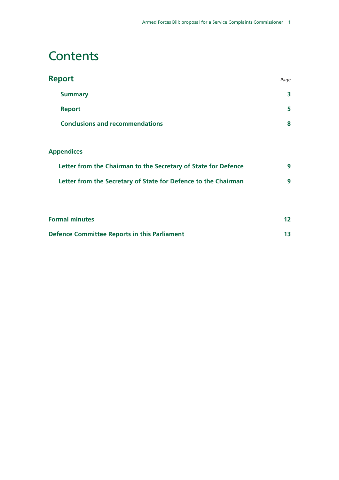# **Contents**

| <b>Report</b>                          |   |
|----------------------------------------|---|
| <b>Summary</b>                         | 3 |
| <b>Report</b>                          | 5 |
| <b>Conclusions and recommendations</b> | 8 |

### **Appendices**

| Letter from the Chairman to the Secretary of State for Defence |  |
|----------------------------------------------------------------|--|
| Letter from the Secretary of State for Defence to the Chairman |  |

| <b>Formal minutes</b>                               |  |
|-----------------------------------------------------|--|
| <b>Defence Committee Reports in this Parliament</b> |  |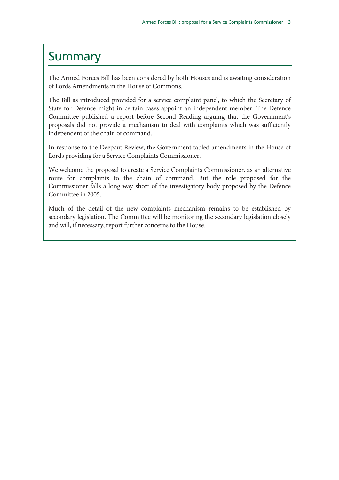### Summary

The Armed Forces Bill has been considered by both Houses and is awaiting consideration of Lords Amendments in the House of Commons.

The Bill as introduced provided for a service complaint panel, to which the Secretary of State for Defence might in certain cases appoint an independent member. The Defence Committee published a report before Second Reading arguing that the Government's proposals did not provide a mechanism to deal with complaints which was sufficiently independent of the chain of command.

In response to the Deepcut Review, the Government tabled amendments in the House of Lords providing for a Service Complaints Commissioner.

We welcome the proposal to create a Service Complaints Commissioner, as an alternative route for complaints to the chain of command. But the role proposed for the Commissioner falls a long way short of the investigatory body proposed by the Defence Committee in 2005.

Much of the detail of the new complaints mechanism remains to be established by secondary legislation. The Committee will be monitoring the secondary legislation closely and will, if necessary, report further concerns to the House.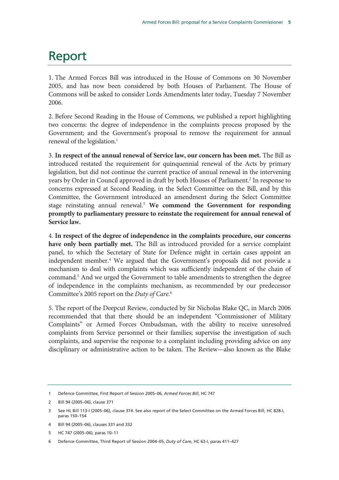# Report

1. The Armed Forces Bill was introduced in the House of Commons on 30 November 2005, and has now been considered by both Houses of Parliament. The House of Commons will be asked to consider Lords Amendments later today, Tuesday 7 November 2006.

2. Before Second Reading in the House of Commons, we published a report highlighting two concerns: the degree of independence in the complaints process proposed by the Government; and the Government's proposal to remove the requirement for annual renewal of the legislation.<sup>1</sup>

3. **In respect of the annual renewal of Service law, our concern has been met.** The Bill as introduced restated the requirement for quinquennial renewal of the Acts by primary legislation, but did not continue the current practice of annual renewal in the intervening years by Order in Council approved in draft by both Houses of Parliament.<sup>2</sup> In response to concerns expressed at Second Reading, in the Select Committee on the Bill, and by this Committee, the Government introduced an amendment during the Select Committee stage reinstating annual renewal.3 **We commend the Government for responding promptly to parliamentary pressure to reinstate the requirement for annual renewal of Service law.**

4. **In respect of the degree of independence in the complaints procedure, our concerns have only been partially met.** The Bill as introduced provided for a service complaint panel, to which the Secretary of State for Defence might in certain cases appoint an independent member.<sup>4</sup> We argued that the Government's proposals did not provide a mechanism to deal with complaints which was sufficiently independent of the chain of command.5 And we urged the Government to table amendments to strengthen the degree of independence in the complaints mechanism, as recommended by our predecessor Committee's 2005 report on the *Duty of Care*. 6

5. The report of the Deepcut Review, conducted by Sir Nicholas Blake QC, in March 2006 recommended that that there should be an independent "Commissioner of Military Complaints" or Armed Forces Ombudsman, with the ability to receive unresolved complaints from Service personnel or their families; supervise the investigation of such complaints, and supervise the response to a complaint including providing advice on any disciplinary or administrative action to be taken. The Review—also known as the Blake

5 HC 747 (2005–06), paras 10–11

<sup>1</sup> Defence Committee, First Report of Session 2005–06, *Armed Forces Bill*, HC 747

<sup>2</sup> Bill 94 (2005–06), clause 371

<sup>3</sup> See HL Bill 113-I (2005–06), clause 374. See also report of the Select Committee on the Armed Forces Bill, HC 828-I, paras 150–154

<sup>4</sup> Bill 94 (2005–06), clauses 331 and 332

<sup>6</sup> Defence Committee, Third Report of Session 2004–05, *Duty of Care*, HC 63-I, paras 411–427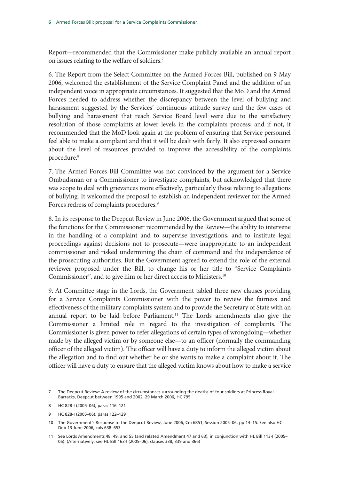Report—recommended that the Commissioner make publicly available an annual report on issues relating to the welfare of soldiers.<sup>7</sup>

6. The Report from the Select Committee on the Armed Forces Bill, published on 9 May 2006, welcomed the establishment of the Service Complaint Panel and the addition of an independent voice in appropriate circumstances. It suggested that the MoD and the Armed Forces needed to address whether the discrepancy between the level of bullying and harassment suggested by the Services' continuous attitude survey and the few cases of bullying and harassment that reach Service Board level were due to the satisfactory resolution of those complaints at lower levels in the complaints process; and if not, it recommended that the MoD look again at the problem of ensuring that Service personnel feel able to make a complaint and that it will be dealt with fairly. It also expressed concern about the level of resources provided to improve the accessibility of the complaints procedure.8

7. The Armed Forces Bill Committee was not convinced by the argument for a Service Ombudsman or a Commissioner to investigate complaints, but acknowledged that there was scope to deal with grievances more effectively, particularly those relating to allegations of bullying. It welcomed the proposal to establish an independent reviewer for the Armed Forces redress of complaints procedures.<sup>9</sup>

8. In its response to the Deepcut Review in June 2006, the Government argued that some of the functions for the Commissioner recommended by the Review—the ability to intervene in the handling of a complaint and to supervise investigations, and to institute legal proceedings against decisions not to prosecute—were inappropriate to an independent commissioner and risked undermining the chain of command and the independence of the prosecuting authorities. But the Government agreed to extend the role of the external reviewer proposed under the Bill, to change his or her title to "Service Complaints Commissioner", and to give him or her direct access to Ministers.<sup>10</sup>

9. At Committee stage in the Lords, the Government tabled three new clauses providing for a Service Complaints Commissioner with the power to review the fairness and effectiveness of the military complaints system and to provide the Secretary of State with an annual report to be laid before Parliament.<sup>11</sup> The Lords amendments also give the Commissioner a limited role in regard to the investigation of complaints. The Commissioner is given power to refer allegations of certain types of wrongdoing—whether made by the alleged victim or by someone else—to an officer (normally the commanding officer of the alleged victim). The officer will have a duty to inform the alleged victim about the allegation and to find out whether he or she wants to make a complaint about it. The officer will have a duty to ensure that the alleged victim knows about how to make a service

<sup>7</sup> The Deepcut Review: A review of the circumstances surrounding the deaths of four soldiers at Princess Royal Barracks, Deepcut between 1995 and 2002, 29 March 2006, HC 795

<sup>8</sup> HC 828-I (2005–06), paras 116–121

<sup>9</sup> HC 828-I (2005–06), paras 122–129

<sup>10</sup> The Government's Response to the Deepcut Review, June 2006, Cm 6851, Session 2005–06, pp 14–15. See also HC Deb 13 June 2006, cols 638–653

<sup>11</sup> See Lords Amendments 48, 49, and 55 (and related Amendment 47 and 63), in conjunction with HL Bill 113-I (2005– 06). (Alternatively, see HL Bill 163-I (2005–06), clauses 338, 339 and 366)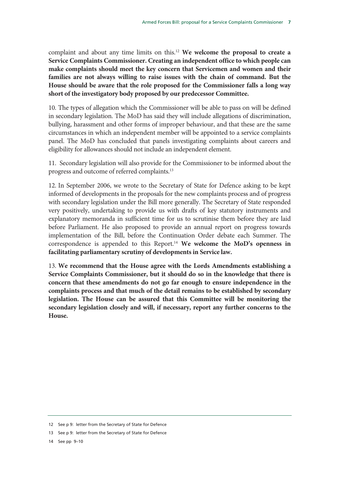complaint and about any time limits on this.12 **We welcome the proposal to create a Service Complaints Commissioner. Creating an independent office to which people can make complaints should meet the key concern that Servicemen and women and their families are not always willing to raise issues with the chain of command. But the House should be aware that the role proposed for the Commissioner falls a long way short of the investigatory body proposed by our predecessor Committee.**

10. The types of allegation which the Commissioner will be able to pass on will be defined in secondary legislation. The MoD has said they will include allegations of discrimination, bullying, harassment and other forms of improper behaviour, and that these are the same circumstances in which an independent member will be appointed to a service complaints panel. The MoD has concluded that panels investigating complaints about careers and eligibility for allowances should not include an independent element.

11. Secondary legislation will also provide for the Commissioner to be informed about the progress and outcome of referred complaints.13

12. In September 2006, we wrote to the Secretary of State for Defence asking to be kept informed of developments in the proposals for the new complaints process and of progress with secondary legislation under the Bill more generally. The Secretary of State responded very positively, undertaking to provide us with drafts of key statutory instruments and explanatory memoranda in sufficient time for us to scrutinise them before they are laid before Parliament. He also proposed to provide an annual report on progress towards implementation of the Bill, before the Continuation Order debate each Summer. The correspondence is appended to this Report.14 **We welcome the MoD's openness in facilitating parliamentary scrutiny of developments in Service law.**

13. **We recommend that the House agree with the Lords Amendments establishing a Service Complaints Commissioner, but it should do so in the knowledge that there is concern that these amendments do not go far enough to ensure independence in the complaints process and that much of the detail remains to be established by secondary legislation. The House can be assured that this Committee will be monitoring the secondary legislation closely and will, if necessary, report any further concerns to the House.**

<sup>12</sup> See p 9: letter from the Secretary of State for Defence

<sup>13</sup> See p 9: letter from the Secretary of State for Defence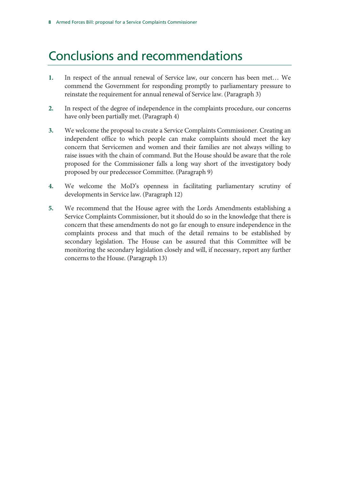# Conclusions and recommendations

- **1.** In respect of the annual renewal of Service law, our concern has been met… We commend the Government for responding promptly to parliamentary pressure to reinstate the requirement for annual renewal of Service law. (Paragraph 3)
- **2.** In respect of the degree of independence in the complaints procedure, our concerns have only been partially met. (Paragraph 4)
- **3.** We welcome the proposal to create a Service Complaints Commissioner. Creating an independent office to which people can make complaints should meet the key concern that Servicemen and women and their families are not always willing to raise issues with the chain of command. But the House should be aware that the role proposed for the Commissioner falls a long way short of the investigatory body proposed by our predecessor Committee. (Paragraph 9)
- **4.** We welcome the MoD's openness in facilitating parliamentary scrutiny of developments in Service law. (Paragraph 12)
- **5.** We recommend that the House agree with the Lords Amendments establishing a Service Complaints Commissioner, but it should do so in the knowledge that there is concern that these amendments do not go far enough to ensure independence in the complaints process and that much of the detail remains to be established by secondary legislation. The House can be assured that this Committee will be monitoring the secondary legislation closely and will, if necessary, report any further concerns to the House. (Paragraph 13)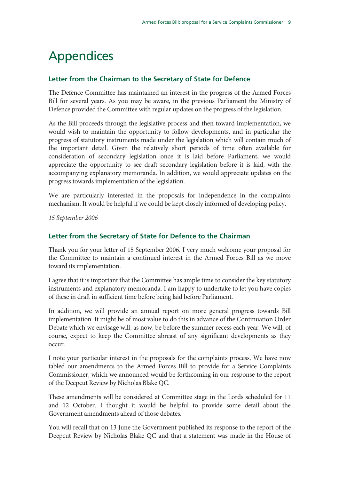# Appendices

### **Letter from the Chairman to the Secretary of State for Defence**

The Defence Committee has maintained an interest in the progress of the Armed Forces Bill for several years. As you may be aware, in the previous Parliament the Ministry of Defence provided the Committee with regular updates on the progress of the legislation.

As the Bill proceeds through the legislative process and then toward implementation, we would wish to maintain the opportunity to follow developments, and in particular the progress of statutory instruments made under the legislation which will contain much of the important detail. Given the relatively short periods of time often available for consideration of secondary legislation once it is laid before Parliament, we would appreciate the opportunity to see draft secondary legislation before it is laid, with the accompanying explanatory memoranda. In addition, we would appreciate updates on the progress towards implementation of the legislation.

We are particularly interested in the proposals for independence in the complaints mechanism. It would be helpful if we could be kept closely informed of developing policy.

*15 September 2006* 

### **Letter from the Secretary of State for Defence to the Chairman**

Thank you for your letter of 15 September 2006. I very much welcome your proposal for the Committee to maintain a continued interest in the Armed Forces Bill as we move toward its implementation.

I agree that it is important that the Committee has ample time to consider the key statutory instruments and explanatory memoranda. I am happy to undertake to let you have copies of these in draft in sufficient time before being laid before Parliament.

In addition, we will provide an annual report on more general progress towards Bill implementation. It might be of most value to do this in advance of the Continuation Order Debate which we envisage will, as now, be before the summer recess each year. We will, of course, expect to keep the Committee abreast of any significant developments as they occur.

I note your particular interest in the proposals for the complaints process. We have now tabled our amendments to the Armed Forces Bill to provide for a Service Complaints Commissioner, which we announced would be forthcoming in our response to the report of the Deepcut Review by Nicholas Blake QC.

These amendments will be considered at Committee stage in the Lords scheduled for 11 and 12 October. I thought it would be helpful to provide some detail about the Government amendments ahead of those debates.

You will recall that on 13 June the Government published its response to the report of the Deepcut Review by Nicholas Blake QC and that a statement was made in the House of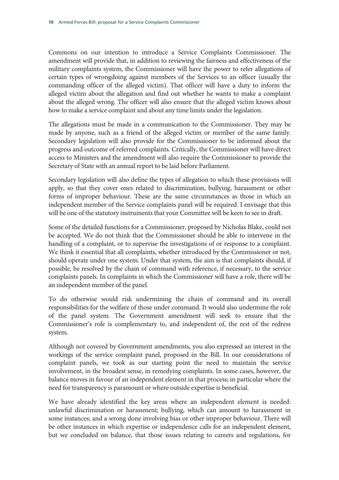Commons on our intention to introduce a Service Complaints Commissioner. The amendment will provide that, in addition to reviewing the fairness and effectiveness of the military complaints system, the Commissioner will have the power to refer allegations of certain types of wrongdoing against members of the Services to an officer (usually the commanding officer of the alleged victim). That officer will have a duty to inform the alleged victim about the allegation and find out whether he wants to make a complaint about the alleged wrong. The officer will also ensure that the alleged victim knows about how to make a service complaint and about any time limits under the legislation.

The allegations must be made in a communication to the Commissioner. They may be made by anyone, such as a friend of the alleged victim or member of the same family. Secondary legislation will also provide for the Commissioner to be informed about the progress and outcome of referred complaints. Critically, the Commissioner will have direct access to Ministers and the amendment will also require the Commissioner to provide the Secretary of State with an annual report to be laid before Parliament.

Secondary legislation will also define the types of allegation to which these provisions will apply, so that they cover ones related to discrimination, bullying, harassment or other forms of improper behaviour. These are the same circumstances as those in which an independent member of the Service complaints panel will be required. I envisage that this will be one of the statutory instruments that your Committee will be keen to see in draft.

Some of the detailed functions for a Commissioner, proposed by Nicholas Blake, could not be accepted. We do not think that the Commissioner should be able to intervene in the handling of a complaint, or to supervise the investigations of or response to a complaint. We think it essential that all complaints, whether introduced by the Commissioner or not, should operate under one system. Under that system, the aim is that complaints should, if possible, be resolved by the chain of command with reference, if necessary, to the service complaints panels. In complaints in which the Commissioner will have a role, there will be an independent member of the panel.

To do otherwise would risk undermining the chain of command and its overall responsibilities for the welfare of those under command. It would also undermine the role of the panel system. The Government amendment will seek to ensure that the Commissioner's role is complementary to, and independent of, the rest of the redress system.

Although not covered by Government amendments, you also expressed an interest in the workings of the service complaint panel, proposed in the Bill. In our considerations of complaint panels, we took as our starting point the need to maintain the service involvement, in the broadest sense, in remedying complaints. In some cases, however, the balance moves in favour of an independent element in that process; in particular where the need for transparency is paramount or where outside expertise is beneficial.

We have already identified the key areas where an independent element is needed: unlawful discrimination or harassment; bullying, which can amount to harassment in some instances; and a wrong done involving bias or other improper behaviour. There will be other instances in which expertise or independence calls for an independent element, but we concluded on balance, that those issues relating to careers and regulations, for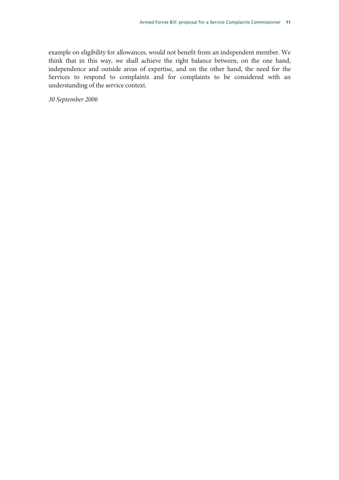example on eligibility for allowances, would not benefit from an independent member. We think that in this way, we shall achieve the right balance between, on the one hand, independence and outside areas of expertise, and on the other hand, the need for the Services to respond to complaints and for complaints to be considered with an understanding of the service context.

*30 September 2006*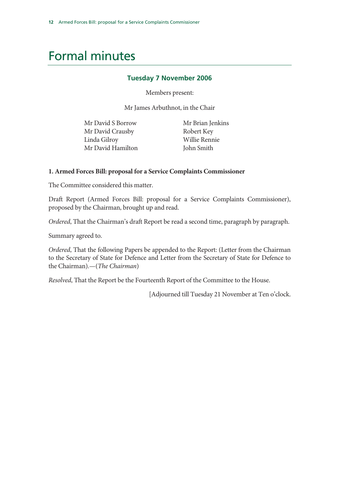# Formal minutes

### **Tuesday 7 November 2006**

Members present:

Mr James Arbuthnot, in the Chair

Mr David S Borrow Mr David Crausby Linda Gilroy Mr David Hamilton  Mr Brian Jenkins Robert Key Willie Rennie John Smith

#### **1. Armed Forces Bill: proposal for a Service Complaints Commissioner**

The Committee considered this matter.

Draft Report (Armed Forces Bill: proposal for a Service Complaints Commissioner), proposed by the Chairman, brought up and read.

*Ordered*, That the Chairman's draft Report be read a second time, paragraph by paragraph.

Summary agreed to.

*Ordered*, That the following Papers be appended to the Report: (Letter from the Chairman to the Secretary of State for Defence and Letter from the Secretary of State for Defence to the Chairman).—(*The Chairman*)

*Resolved*, That the Report be the Fourteenth Report of the Committee to the House.

[Adjourned till Tuesday 21 November at Ten o'clock.